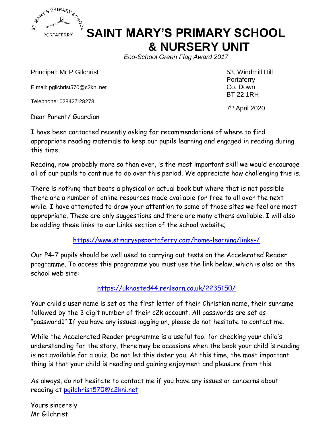

# **SAINT MARY'S PRIMARY SCHOOL & NURSERY UNIT**

*Eco-School Green Flag Award 2017* 

Principal: Mr P Gilchrist 63, Windmill Hill

E mail: pgilchrist570@c2kni.net

Telephone: 028427 28278

 7 Dear Parent/ Guardian

Portaferry<br>Co. Down BT 22 1RH

7<sup>th</sup> April 2020

I have been contacted recently asking for recommendations of where to find appropriate reading materials to keep our pupils learning and engaged in reading during this time.

Reading, now probably more so than ever, is the most important skill we would encourage all of our pupils to continue to do over this period. We appreciate how challenging this is.

There is nothing that beats a physical or actual book but where that is not possible there are a number of online resources made available for free to all over the next while. I have attempted to draw your attention to some of those sites we feel are most appropriate, These are only suggestions and there are many others available. I will also be adding these links to our Links section of the school website;

<https://www.stmaryspsportaferry.com/home-learning/links-/>

Our P4-7 pupils should be well used to carrying out tests on the Accelerated Reader programme. To access this programme you must use the link below, which is also on the school web site:

#### <https://ukhosted44.renlearn.co.uk/2235150/>

Your child's user name is set as the first letter of their Christian name, their surname followed by the 3 digit number of their c2k account. All passwords are set as "password1" If you have any issues logging on, please do not hesitate to contact me.

While the Accelerated Reader programme is a useful tool for checking your child's understanding for the story, there may be occasions when the book your child is reading is not available for a quiz. Do not let this deter you. At this time, the most important thing is that your child is reading and gaining enjoyment and pleasure from this.

As always, do not hesitate to contact me if you have any issues or concerns about reading at [pgilchrist570@c2kni.net](mailto:pgilchrist570@c2kni.net)

Yours sincerely Mr Gilchrist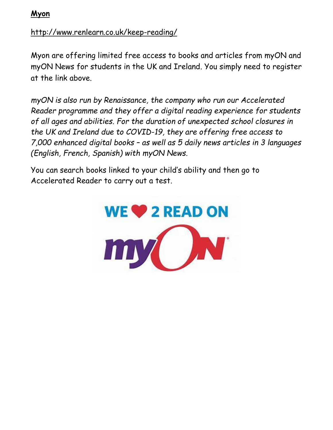**Myon**

#### <http://www.renlearn.co.uk/keep-reading/>

Myon are offering limited free access to books and articles from myON and myON News for students in the UK and Ireland. You simply need to register at the link above.

*[myON](http://www.renlearn.co.uk/myon) is also run by Renaissance, the company who run our Accelerated Reader programme and they offer a digital reading experience for students of all ages and abilities. For the duration of unexpected school closures in the UK and Ireland due to COVID-19, they are offering free access to 7,000 enhanced digital books – as well as 5 daily news articles in 3 languages (English, French, Spanish) with [myON News.](http://www.renlearn.co.uk/myon-news)*

You can search books linked to your child's ability and then go to Accelerated Reader to carry out a test.

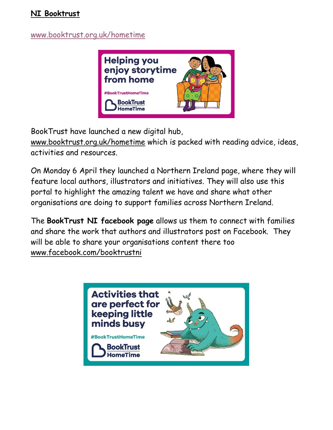#### **NI Booktrust**

### [www.booktrust.org.uk/hometime](http://www.booktrust.org.uk/hometime)



BookTrust have launched a new digital hub,

[www.booktrust.org.uk/hometime](http://www.booktrust.org.uk/hometime) which is packed with reading advice, ideas, activities and resources.

On Monday 6 April they launched a Northern Ireland page, where they will feature local authors, illustrators and initiatives. They will also use this portal to highlight the amazing talent we have and share what other organisations are doing to support families across Northern Ireland.

The **BookTrust NI facebook page** allows us them to connect with families and share the work that authors and illustrators post on Facebook. They will be able to share your organisations content there too [www.facebook.com/booktrustni](http://www.facebook.com/booktrustni)

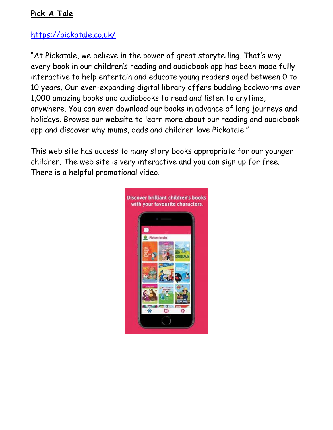### **Pick A Tale**

## <https://pickatale.co.uk/>

"At Pickatale, we believe in the power of great storytelling. That's why every book in our children's reading and audiobook app has been made fully interactive to help entertain and educate young readers aged between 0 to 10 years. Our ever-expanding digital library offers budding bookworms over 1,000 amazing books and audiobooks to read and listen to anytime, anywhere. You can even download our books in advance of long journeys and holidays. Browse our website to learn more about our reading and audiobook app and discover why mums, dads and children love Pickatale."

This web site has access to many story books appropriate for our younger children. The web site is very interactive and you can sign up for free. There is a helpful promotional video.

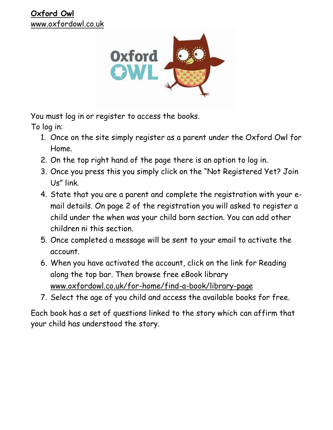

You must log in or register to access the books.

To log in:

- 1. Once on the site simply register as a parent under the Oxford Owl for Home.
- 2. On the top right hand of the page there is an option to log in.
- 3. Once you press this you simply click on the "Not Registered Yet? Join Us" link.
- 4. State that you are a parent and complete the registration with your email details. On page 2 of the registration you will asked to register a child under the when was your child born section. You can add other children ni this section.
- 5. Once completed a message will be sent to your email to activate the account.
- 6. When you have activated the account, click on the link for Reading along the top bar. Then browse free eBook library [www.oxfordowl.co.uk/for-home/find-a-book/library-page](http://www.oxfordowl.co.uk/for-home/find-a-book/library-page)
- 7. Select the age of you child and access the available books for free.

Each book has a set of questions linked to the story which can affirm that your child has understood the story.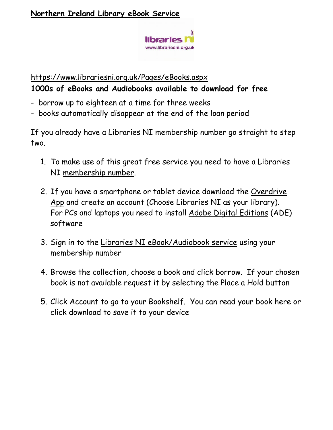

#### <https://www.librariesni.org.uk/Pages/eBooks.aspx>

### **1000s of eBooks and Audiobooks available to download for free**

- borrow up to eighteen at a time for three weeks
- books automatically disappear at the end of the loan period

If you already have a Libraries NI membership number go straight to step two.

- 1. To make use of this great free service you need to have a Libraries NI [membership number.](https://www.librariesni.org.uk/_layouts/LNI_CustomPages/CreateLMSUsers.aspx)
- 2. If you have a smartphone or tablet device download the [Overdrive](http://app.overdrive.com/)  [App](http://app.overdrive.com/) and create an account (Choose Libraries NI as your library). For PCs and laptops you need to install [Adobe Digital Editions](http://www.adobe.com/uk/solutions/ebook/digital-editions/download.html) (ADE) software
- 3. Sign in to the [Libraries NI eBook/Audiobook service](https://librariesniuk.libraryreserve.com/10/50/en/SignIn.htm?URL=Default%2ehtm) using your membership number
- 4. [Browse the collection,](http://librariesniuk.lib.overdrive.com/) choose a book and click borrow. If your chosen book is not available request it by selecting the Place a Hold button
- 5. Click Account to go to your Bookshelf. You can read your book here or click download to save it to your device